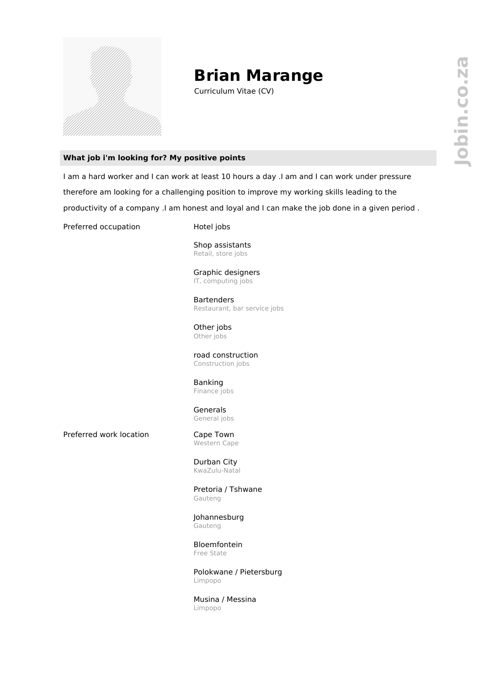

## **Brian Marange**

Curriculum Vitae (CV)

## **What job i'm looking for? My positive points**

I am a hard worker and I can work at least 10 hours a day .I am and I can work under pressure therefore am looking for a challenging position to improve my working skills leading to the productivity of a company .I am honest and loyal and I can make the job done in a given period .

Preferred occupation Hotel jobs

Shop assistants Retail, store jobs

Graphic designers IT, computing jobs

**Bartenders** Restaurant, bar service jobs

Other jobs Other jobs

road construction Construction jobs

Banking Finance jobs

Generals General jobs

Preferred work location Cape Town

Western Cape

Durban City KwaZulu-Natal

Pretoria / Tshwane Gauteng

Johannesburg Gauteng

Bloemfontein Free State

Polokwane / Pietersburg Limpopo

Musina / Messina Limpopo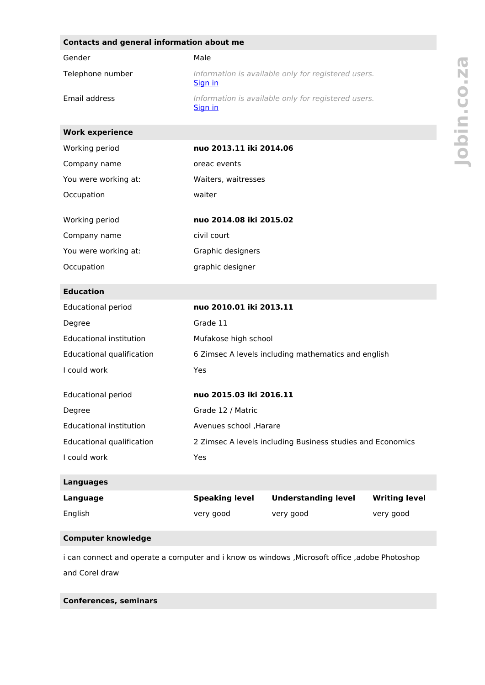| Gender<br>Male<br>Telephone number<br>Information is available only for registered users.<br>Sign in<br>Email address<br>Information is available only for registered users.<br>Sign in<br><b>Work experience</b><br>nuo 2013.11 iki 2014.06<br>Working period<br>Company name<br>oreac events<br>You were working at:<br>Waiters, waitresses<br>waiter<br>Occupation<br>Working period<br>nuo 2014.08 iki 2015.02<br>civil court<br>Company name<br>You were working at:<br>Graphic designers<br>Occupation<br>graphic designer<br><b>Education</b><br>nuo 2010.01 iki 2013.11<br><b>Educational period</b><br>Grade 11<br>Degree |
|------------------------------------------------------------------------------------------------------------------------------------------------------------------------------------------------------------------------------------------------------------------------------------------------------------------------------------------------------------------------------------------------------------------------------------------------------------------------------------------------------------------------------------------------------------------------------------------------------------------------------------|
|                                                                                                                                                                                                                                                                                                                                                                                                                                                                                                                                                                                                                                    |
|                                                                                                                                                                                                                                                                                                                                                                                                                                                                                                                                                                                                                                    |
|                                                                                                                                                                                                                                                                                                                                                                                                                                                                                                                                                                                                                                    |
|                                                                                                                                                                                                                                                                                                                                                                                                                                                                                                                                                                                                                                    |
|                                                                                                                                                                                                                                                                                                                                                                                                                                                                                                                                                                                                                                    |
|                                                                                                                                                                                                                                                                                                                                                                                                                                                                                                                                                                                                                                    |
|                                                                                                                                                                                                                                                                                                                                                                                                                                                                                                                                                                                                                                    |
|                                                                                                                                                                                                                                                                                                                                                                                                                                                                                                                                                                                                                                    |
|                                                                                                                                                                                                                                                                                                                                                                                                                                                                                                                                                                                                                                    |
|                                                                                                                                                                                                                                                                                                                                                                                                                                                                                                                                                                                                                                    |
|                                                                                                                                                                                                                                                                                                                                                                                                                                                                                                                                                                                                                                    |
|                                                                                                                                                                                                                                                                                                                                                                                                                                                                                                                                                                                                                                    |
|                                                                                                                                                                                                                                                                                                                                                                                                                                                                                                                                                                                                                                    |
|                                                                                                                                                                                                                                                                                                                                                                                                                                                                                                                                                                                                                                    |
|                                                                                                                                                                                                                                                                                                                                                                                                                                                                                                                                                                                                                                    |
| <b>Educational institution</b><br>Mufakose high school                                                                                                                                                                                                                                                                                                                                                                                                                                                                                                                                                                             |
| Educational qualification<br>6 Zimsec A levels including mathematics and english                                                                                                                                                                                                                                                                                                                                                                                                                                                                                                                                                   |
| I could work<br>Yes                                                                                                                                                                                                                                                                                                                                                                                                                                                                                                                                                                                                                |
| <b>Educational period</b><br>nuo 2015.03 iki 2016.11                                                                                                                                                                                                                                                                                                                                                                                                                                                                                                                                                                               |
| Grade 12 / Matric<br>Degree                                                                                                                                                                                                                                                                                                                                                                                                                                                                                                                                                                                                        |
| <b>Educational institution</b><br>Avenues school , Harare                                                                                                                                                                                                                                                                                                                                                                                                                                                                                                                                                                          |
| Educational qualification<br>2 Zimsec A levels including Business studies and Economics                                                                                                                                                                                                                                                                                                                                                                                                                                                                                                                                            |
| I could work<br>Yes                                                                                                                                                                                                                                                                                                                                                                                                                                                                                                                                                                                                                |
| <b>Languages</b>                                                                                                                                                                                                                                                                                                                                                                                                                                                                                                                                                                                                                   |
| <b>Speaking level</b><br><b>Understanding level</b><br><b>Writing level</b><br>Language                                                                                                                                                                                                                                                                                                                                                                                                                                                                                                                                            |
| English<br>very good<br>very good<br>very good                                                                                                                                                                                                                                                                                                                                                                                                                                                                                                                                                                                     |
|                                                                                                                                                                                                                                                                                                                                                                                                                                                                                                                                                                                                                                    |

i can connect and operate a computer and i know os windows ,Microsoft office ,adobe Photoshop and Corel draw

**Conferences, seminars**